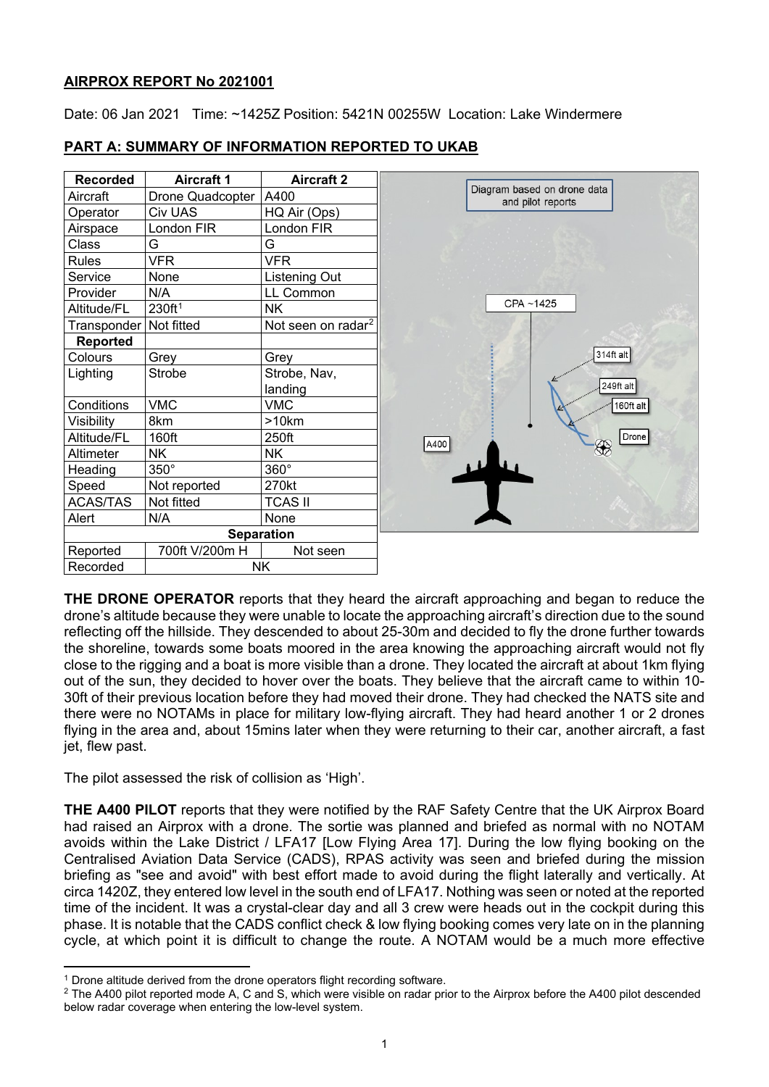## **AIRPROX REPORT No 2021001**

Date: 06 Jan 2021 Time: ~1425Z Position: 5421N 00255W Location: Lake Windermere

| <b>Recorded</b>          | <b>Aircraft 1</b>        | <b>Aircraft 2</b>              |  |
|--------------------------|--------------------------|--------------------------------|--|
| Aircraft                 | Drone Quadcopter         | A400                           |  |
| Operator                 | Civ UAS                  | HQ Air (Ops)                   |  |
| Airspace                 | London FIR               | London FIR                     |  |
| Class                    | G                        | G                              |  |
| <b>Rules</b>             | <b>VFR</b>               | <b>VFR</b>                     |  |
| Service                  | None                     | <b>Listening Out</b>           |  |
| Provider                 | N/A                      | LL Common                      |  |
| Altitude/FL              | 230ft <sup>1</sup>       | NΚ                             |  |
| Transponder   Not fitted |                          | Not seen on radar <sup>2</sup> |  |
| <b>Reported</b>          |                          |                                |  |
| Colours                  | Grey                     | Grey                           |  |
| Lighting                 | Strobe, Nav,<br>Strobe   |                                |  |
|                          |                          | landing                        |  |
| Conditions               | <b>VMC</b><br><b>VMC</b> |                                |  |
| Visibility               | 8km                      | >10km                          |  |
| Altitude/FL              | 160ft                    | 250ft                          |  |
| Altimeter                | NK<br>NΚ                 |                                |  |
| Heading                  | 350°                     | 360°                           |  |
| Speed                    | Not reported             | 270kt                          |  |
| <b>ACAS/TAS</b>          | Not fitted               | <b>TCAS II</b>                 |  |
| Alert                    | N/A<br>None              |                                |  |
|                          | <b>Separation</b>        |                                |  |
| Reported                 | 700ft V/200m H           | Not seen                       |  |
| Recorded                 | <b>NK</b>                |                                |  |

# **PART A: SUMMARY OF INFORMATION REPORTED TO UKAB**



**THE DRONE OPERATOR** reports that they heard the aircraft approaching and began to reduce the drone's altitude because they were unable to locate the approaching aircraft's direction due to the sound reflecting off the hillside. They descended to about 25-30m and decided to fly the drone further towards the shoreline, towards some boats moored in the area knowing the approaching aircraft would not fly close to the rigging and a boat is more visible than a drone. They located the aircraft at about 1km flying out of the sun, they decided to hover over the boats. They believe that the aircraft came to within 10- 30ft of their previous location before they had moved their drone. They had checked the NATS site and there were no NOTAMs in place for military low-flying aircraft. They had heard another 1 or 2 drones flying in the area and, about 15mins later when they were returning to their car, another aircraft, a fast jet, flew past.

The pilot assessed the risk of collision as 'High'.

**THE A400 PILOT** reports that they were notified by the RAF Safety Centre that the UK Airprox Board had raised an Airprox with a drone. The sortie was planned and briefed as normal with no NOTAM avoids within the Lake District / LFA17 [Low Flying Area 17]. During the low flying booking on the Centralised Aviation Data Service (CADS), RPAS activity was seen and briefed during the mission briefing as "see and avoid" with best effort made to avoid during the flight laterally and vertically. At circa 1420Z, they entered low level in the south end of LFA17. Nothing was seen or noted at the reported time of the incident. It was a crystal-clear day and all 3 crew were heads out in the cockpit during this phase. It is notable that the CADS conflict check & low flying booking comes very late on in the planning cycle, at which point it is difficult to change the route. A NOTAM would be a much more effective

<span id="page-0-1"></span><span id="page-0-0"></span><sup>&</sup>lt;sup>1</sup> Drone altitude derived from the drone operators flight recording software.<br><sup>2</sup> The A400 pilot reported mode A, C and S, which were visible on radar prior to the Airprox before the A400 pilot descended below radar coverage when entering the low-level system.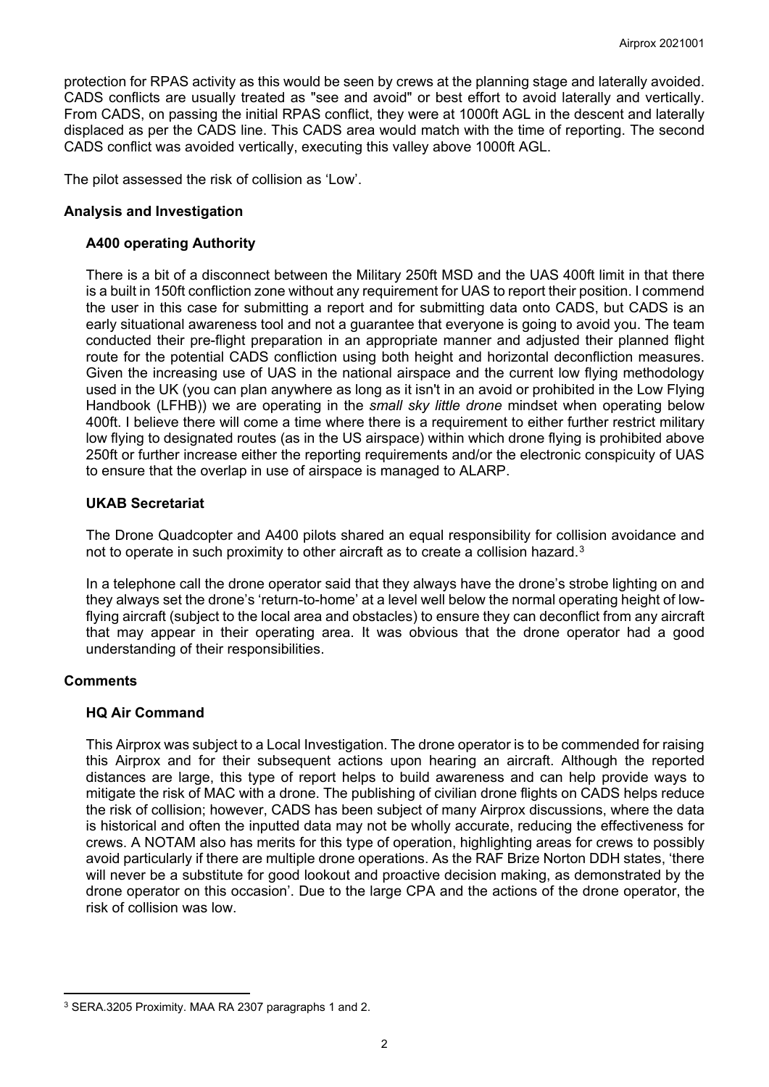protection for RPAS activity as this would be seen by crews at the planning stage and laterally avoided. CADS conflicts are usually treated as "see and avoid" or best effort to avoid laterally and vertically. From CADS, on passing the initial RPAS conflict, they were at 1000ft AGL in the descent and laterally displaced as per the CADS line. This CADS area would match with the time of reporting. The second CADS conflict was avoided vertically, executing this valley above 1000ft AGL.

The pilot assessed the risk of collision as 'Low'.

# **Analysis and Investigation**

## **A400 operating Authority**

There is a bit of a disconnect between the Military 250ft MSD and the UAS 400ft limit in that there is a built in 150ft confliction zone without any requirement for UAS to report their position. I commend the user in this case for submitting a report and for submitting data onto CADS, but CADS is an early situational awareness tool and not a guarantee that everyone is going to avoid you. The team conducted their pre-flight preparation in an appropriate manner and adjusted their planned flight route for the potential CADS confliction using both height and horizontal deconfliction measures. Given the increasing use of UAS in the national airspace and the current low flying methodology used in the UK (you can plan anywhere as long as it isn't in an avoid or prohibited in the Low Flying Handbook (LFHB)) we are operating in the *small sky little drone* mindset when operating below 400ft. I believe there will come a time where there is a requirement to either further restrict military low flying to designated routes (as in the US airspace) within which drone flying is prohibited above 250ft or further increase either the reporting requirements and/or the electronic conspicuity of UAS to ensure that the overlap in use of airspace is managed to ALARP.

# **UKAB Secretariat**

The Drone Quadcopter and A400 pilots shared an equal responsibility for collision avoidance and not to operate in such proximity to other aircraft as to create a collision hazard.[3](#page-1-0)

In a telephone call the drone operator said that they always have the drone's strobe lighting on and they always set the drone's 'return-to-home' at a level well below the normal operating height of lowflying aircraft (subject to the local area and obstacles) to ensure they can deconflict from any aircraft that may appear in their operating area. It was obvious that the drone operator had a good understanding of their responsibilities.

## **Comments**

## **HQ Air Command**

This Airprox was subject to a Local Investigation. The drone operator is to be commended for raising this Airprox and for their subsequent actions upon hearing an aircraft. Although the reported distances are large, this type of report helps to build awareness and can help provide ways to mitigate the risk of MAC with a drone. The publishing of civilian drone flights on CADS helps reduce the risk of collision; however, CADS has been subject of many Airprox discussions, where the data is historical and often the inputted data may not be wholly accurate, reducing the effectiveness for crews. A NOTAM also has merits for this type of operation, highlighting areas for crews to possibly avoid particularly if there are multiple drone operations. As the RAF Brize Norton DDH states, 'there will never be a substitute for good lookout and proactive decision making, as demonstrated by the drone operator on this occasion'. Due to the large CPA and the actions of the drone operator, the risk of collision was low.

<span id="page-1-0"></span><sup>3</sup> SERA.3205 Proximity. MAA RA 2307 paragraphs 1 and 2.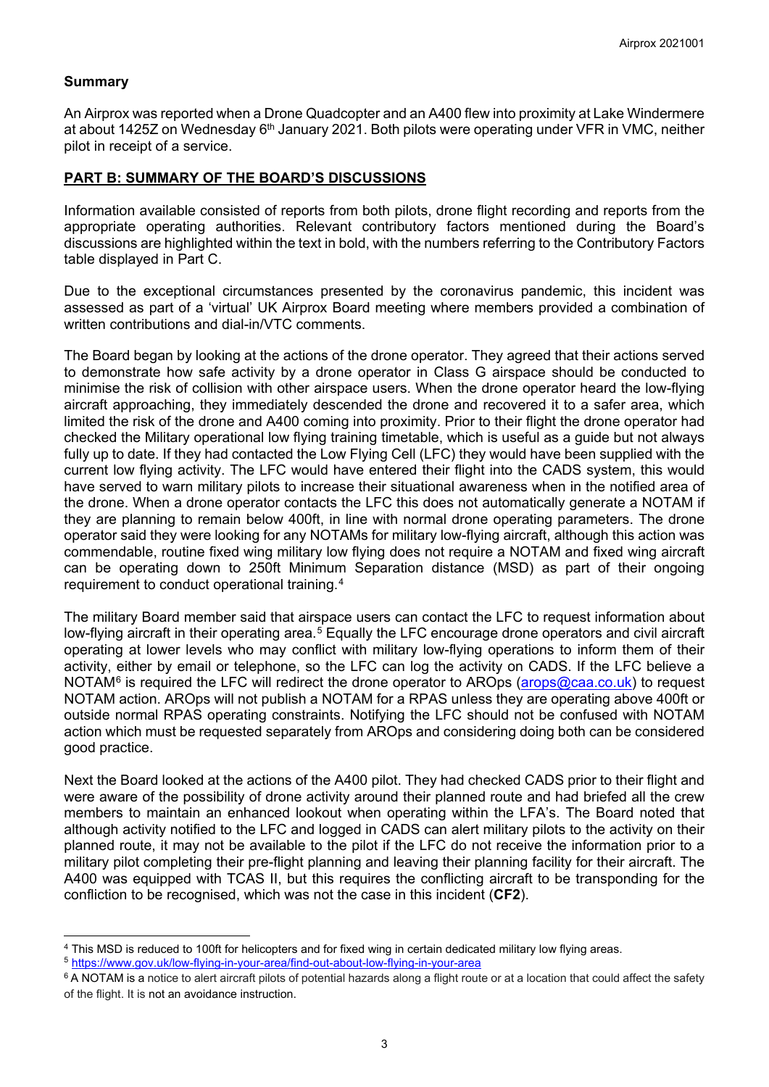#### **Summary**

An Airprox was reported when a Drone Quadcopter and an A400 flew into proximity at Lake Windermere at about 1425Z on Wednesday 6<sup>th</sup> January 2021. Both pilots were operating under VFR in VMC, neither pilot in receipt of a service.

#### **PART B: SUMMARY OF THE BOARD'S DISCUSSIONS**

Information available consisted of reports from both pilots, drone flight recording and reports from the appropriate operating authorities. Relevant contributory factors mentioned during the Board's discussions are highlighted within the text in bold, with the numbers referring to the Contributory Factors table displayed in Part C.

Due to the exceptional circumstances presented by the coronavirus pandemic, this incident was assessed as part of a 'virtual' UK Airprox Board meeting where members provided a combination of written contributions and dial-in/VTC comments.

The Board began by looking at the actions of the drone operator. They agreed that their actions served to demonstrate how safe activity by a drone operator in Class G airspace should be conducted to minimise the risk of collision with other airspace users. When the drone operator heard the low-flying aircraft approaching, they immediately descended the drone and recovered it to a safer area, which limited the risk of the drone and A400 coming into proximity. Prior to their flight the drone operator had checked the Military operational low flying training timetable, which is useful as a guide but not always fully up to date. If they had contacted the Low Flying Cell (LFC) they would have been supplied with the current low flying activity. The LFC would have entered their flight into the CADS system, this would have served to warn military pilots to increase their situational awareness when in the notified area of the drone. When a drone operator contacts the LFC this does not automatically generate a NOTAM if they are planning to remain below 400ft, in line with normal drone operating parameters. The drone operator said they were looking for any NOTAMs for military low-flying aircraft, although this action was commendable, routine fixed wing military low flying does not require a NOTAM and fixed wing aircraft can be operating down to 250ft Minimum Separation distance (MSD) as part of their ongoing requirement to conduct operational training.[4](#page-2-0)

The military Board member said that airspace users can contact the LFC to request information about low-flying aircraft in their operating area.<sup>[5](#page-2-1)</sup> Equally the LFC encourage drone operators and civil aircraft operating at lower levels who may conflict with military low-flying operations to inform them of their activity, either by email or telephone, so the LFC can log the activity on CADS. If the LFC believe a NOTAM $6$  is required the LFC will redirect the drone operator to AROps [\(arops@caa.co.uk\)](mailto:arops@caa.co.uk) to request NOTAM action. AROps will not publish a NOTAM for a RPAS unless they are operating above 400ft or outside normal RPAS operating constraints. Notifying the LFC should not be confused with NOTAM action which must be requested separately from AROps and considering doing both can be considered good practice.

Next the Board looked at the actions of the A400 pilot. They had checked CADS prior to their flight and were aware of the possibility of drone activity around their planned route and had briefed all the crew members to maintain an enhanced lookout when operating within the LFA's. The Board noted that although activity notified to the LFC and logged in CADS can alert military pilots to the activity on their planned route, it may not be available to the pilot if the LFC do not receive the information prior to a military pilot completing their pre-flight planning and leaving their planning facility for their aircraft. The A400 was equipped with TCAS II, but this requires the conflicting aircraft to be transponding for the confliction to be recognised, which was not the case in this incident (**CF2**).

<span id="page-2-0"></span><sup>4</sup> This MSD is reduced to 100ft for helicopters and for fixed wing in certain dedicated military low flying areas.

<span id="page-2-1"></span><sup>5</sup> <https://www.gov.uk/low-flying-in-your-area/find-out-about-low-flying-in-your-area>

<span id="page-2-2"></span> $6$  A NOTAM is a notice to alert aircraft pilots of potential hazards along a flight route or at a location that could affect the safety of the flight. It is not an avoidance instruction.